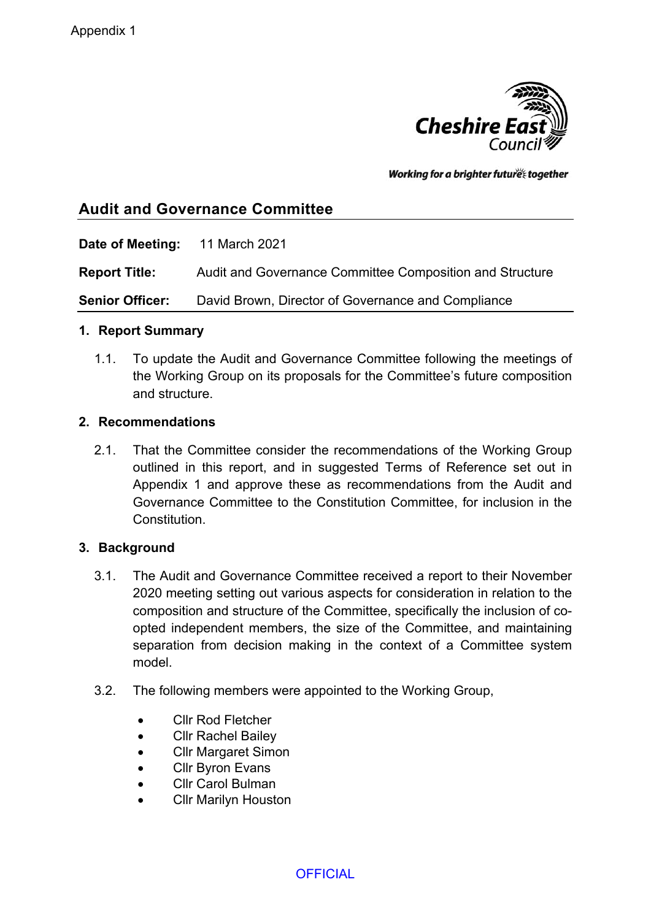

Working for a brighter futures together

# **Audit and Governance Committee**

**Date of Meeting:** 11 March 2021

**Report Title:** Audit and Governance Committee Composition and Structure

**Senior Officer:** David Brown, Director of Governance and Compliance

## **1. Report Summary**

1.1. To update the Audit and Governance Committee following the meetings of the Working Group on its proposals for the Committee's future composition and structure.

## **2. Recommendations**

2.1. That the Committee consider the recommendations of the Working Group outlined in this report, and in suggested Terms of Reference set out in Appendix 1 and approve these as recommendations from the Audit and Governance Committee to the Constitution Committee, for inclusion in the Constitution.

## **3. Background**

- 3.1. The Audit and Governance Committee received a report to their November 2020 meeting setting out various aspects for consideration in relation to the composition and structure of the Committee, specifically the inclusion of coopted independent members, the size of the Committee, and maintaining separation from decision making in the context of a Committee system model.
- 3.2. The following members were appointed to the Working Group,
	- Cllr Rod Fletcher
	- Cllr Rachel Bailey
	- Cllr Margaret Simon
	- Cllr Byron Evans
	- Cllr Carol Bulman
	- Cllr Marilyn Houston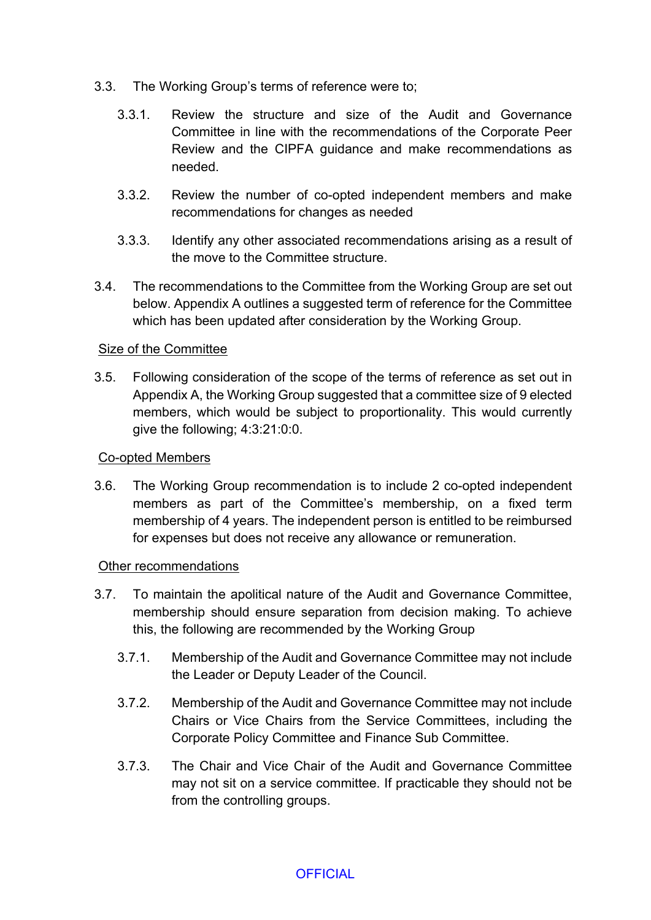- 3.3. The Working Group's terms of reference were to;
	- 3.3.1. Review the structure and size of the Audit and Governance Committee in line with the recommendations of the Corporate Peer Review and the CIPFA guidance and make recommendations as needed.
	- 3.3.2. Review the number of co-opted independent members and make recommendations for changes as needed
	- 3.3.3. Identify any other associated recommendations arising as a result of the move to the Committee structure.
- 3.4. The recommendations to the Committee from the Working Group are set out below. Appendix A outlines a suggested term of reference for the Committee which has been updated after consideration by the Working Group.

## Size of the Committee

3.5. Following consideration of the scope of the terms of reference as set out in Appendix A, the Working Group suggested that a committee size of 9 elected members, which would be subject to proportionality. This would currently give the following; 4:3:21:0:0.

## Co-opted Members

3.6. The Working Group recommendation is to include 2 co-opted independent members as part of the Committee's membership, on a fixed term membership of 4 years. The independent person is entitled to be reimbursed for expenses but does not receive any allowance or remuneration.

## Other recommendations

- 3.7. To maintain the apolitical nature of the Audit and Governance Committee, membership should ensure separation from decision making. To achieve this, the following are recommended by the Working Group
	- 3.7.1. Membership of the Audit and Governance Committee may not include the Leader or Deputy Leader of the Council.
	- 3.7.2. Membership of the Audit and Governance Committee may not include Chairs or Vice Chairs from the Service Committees, including the Corporate Policy Committee and Finance Sub Committee.
	- 3.7.3. The Chair and Vice Chair of the Audit and Governance Committee may not sit on a service committee. If practicable they should not be from the controlling groups.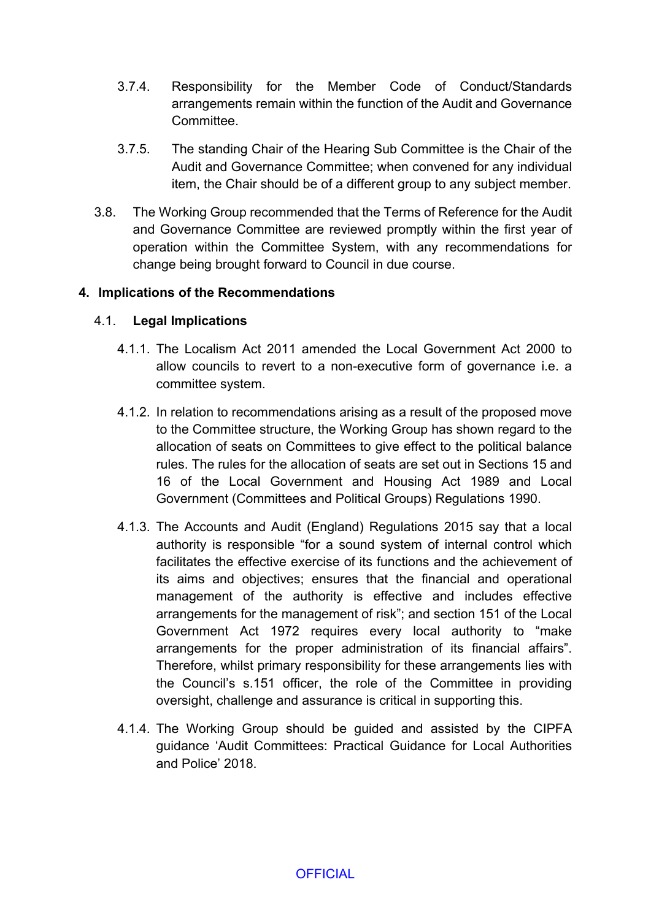- 3.7.4. Responsibility for the Member Code of Conduct/Standards arrangements remain within the function of the Audit and Governance **Committee.**
- 3.7.5. The standing Chair of the Hearing Sub Committee is the Chair of the Audit and Governance Committee; when convened for any individual item, the Chair should be of a different group to any subject member.
- 3.8. The Working Group recommended that the Terms of Reference for the Audit and Governance Committee are reviewed promptly within the first year of operation within the Committee System, with any recommendations for change being brought forward to Council in due course.

## **4. Implications of the Recommendations**

## 4.1. **Legal Implications**

- 4.1.1. The Localism Act 2011 amended the Local Government Act 2000 to allow councils to revert to a non-executive form of governance i.e. a committee system.
- 4.1.2. In relation to recommendations arising as a result of the proposed move to the Committee structure, the Working Group has shown regard to the allocation of seats on Committees to give effect to the political balance rules. The rules for the allocation of seats are set out in Sections 15 and 16 of the Local Government and Housing Act 1989 and Local Government (Committees and Political Groups) Regulations 1990.
- 4.1.3. The Accounts and Audit (England) Regulations 2015 say that a local authority is responsible "for a sound system of internal control which facilitates the effective exercise of its functions and the achievement of its aims and objectives; ensures that the financial and operational management of the authority is effective and includes effective arrangements for the management of risk"; and section 151 of the Local Government Act 1972 requires every local authority to "make arrangements for the proper administration of its financial affairs". Therefore, whilst primary responsibility for these arrangements lies with the Council's s.151 officer, the role of the Committee in providing oversight, challenge and assurance is critical in supporting this.
- 4.1.4. The Working Group should be guided and assisted by the CIPFA guidance 'Audit Committees: Practical Guidance for Local Authorities and Police' 2018.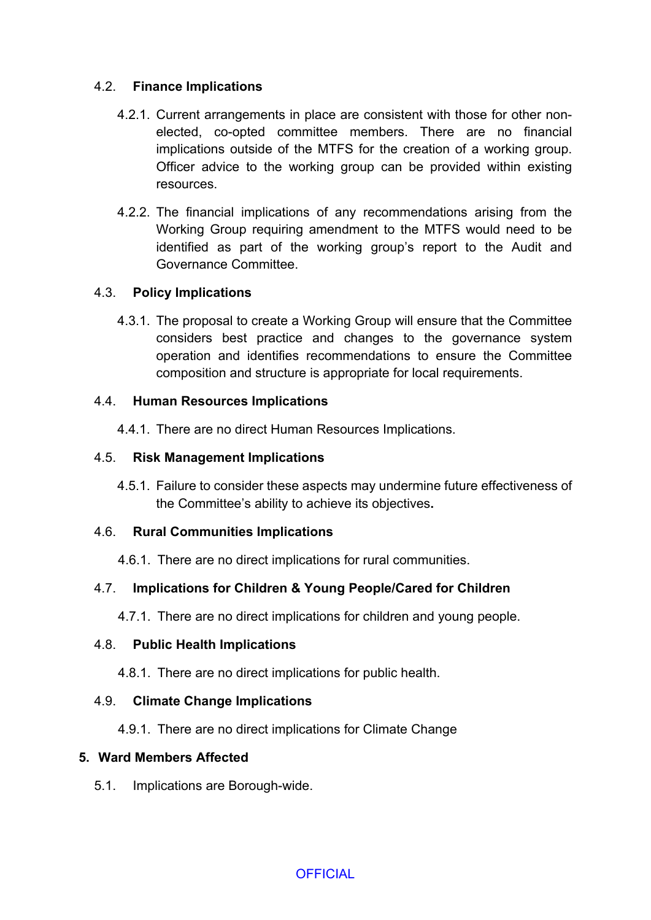# 4.2. **Finance Implications**

- 4.2.1. Current arrangements in place are consistent with those for other nonelected, co-opted committee members. There are no financial implications outside of the MTFS for the creation of a working group. Officer advice to the working group can be provided within existing resources.
- 4.2.2. The financial implications of any recommendations arising from the Working Group requiring amendment to the MTFS would need to be identified as part of the working group's report to the Audit and Governance Committee.

## 4.3. **Policy Implications**

4.3.1. The proposal to create a Working Group will ensure that the Committee considers best practice and changes to the governance system operation and identifies recommendations to ensure the Committee composition and structure is appropriate for local requirements.

## 4.4. **Human Resources Implications**

4.4.1. There are no direct Human Resources Implications.

## 4.5. **Risk Management Implications**

4.5.1. Failure to consider these aspects may undermine future effectiveness of the Committee's ability to achieve its objectives**.**

## 4.6. **Rural Communities Implications**

4.6.1. There are no direct implications for rural communities.

# 4.7. **Implications for Children & Young People/Cared for Children**

4.7.1. There are no direct implications for children and young people.

# 4.8. **Public Health Implications**

4.8.1. There are no direct implications for public health.

# 4.9. **Climate Change Implications**

4.9.1. There are no direct implications for Climate Change

## **5. Ward Members Affected**

5.1. Implications are Borough-wide.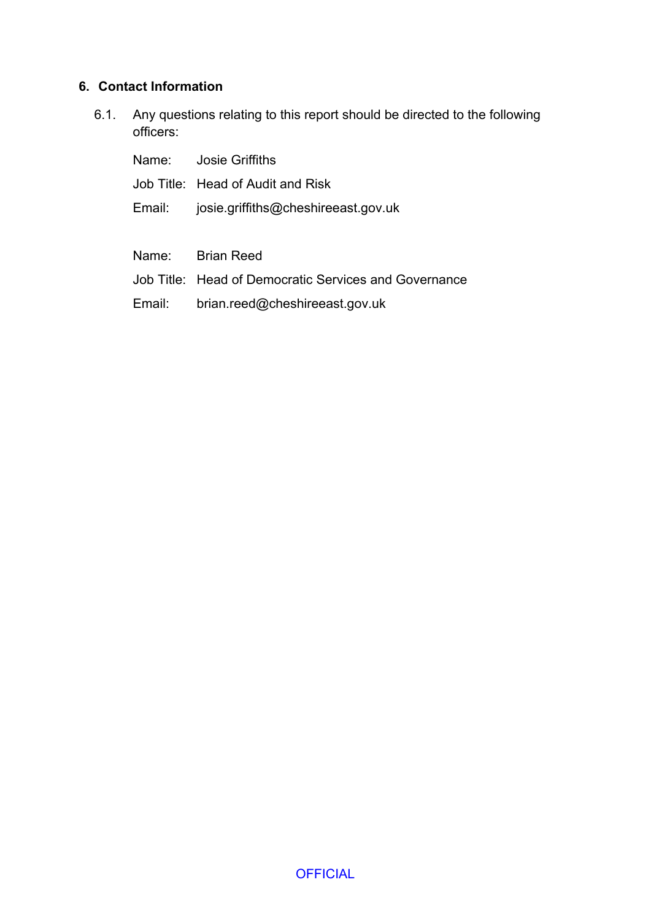# **6. Contact Information**

6.1. Any questions relating to this report should be directed to the following officers:

|        | Name: Josie Griffiths                                 |
|--------|-------------------------------------------------------|
|        | Job Title: Head of Audit and Risk                     |
| Email: | josie.griffiths@cheshireeast.gov.uk                   |
|        |                                                       |
|        | Name: Brian Reed                                      |
|        | Job Title: Head of Democratic Services and Governance |
| Email: | brian.reed@cheshireeast.gov.uk                        |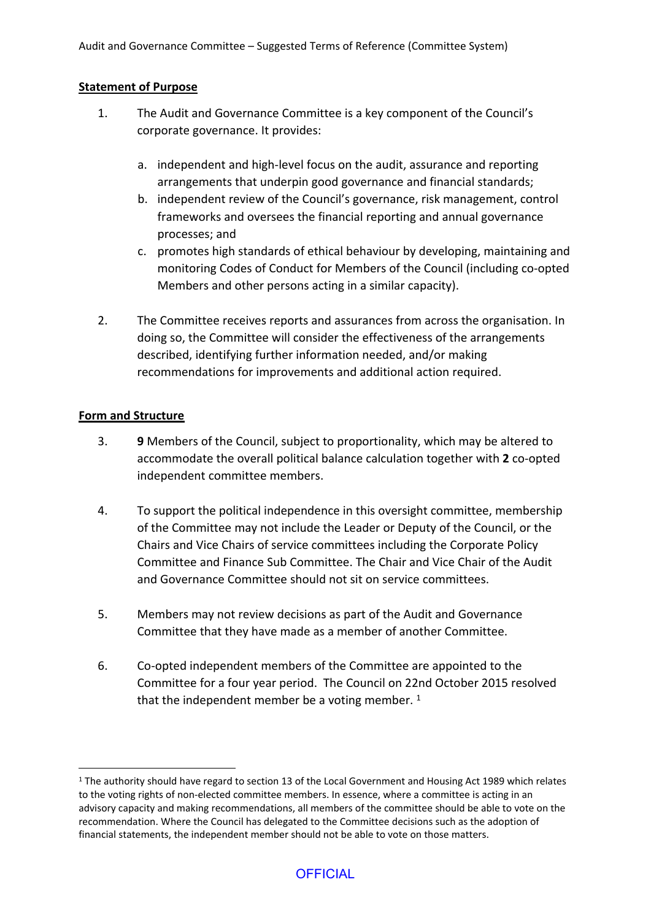#### **Statement of Purpose**

- 1. The Audit and Governance Committee is a key component of the Council's corporate governance. It provides:
	- a. independent and high-level focus on the audit, assurance and reporting arrangements that underpin good governance and financial standards;
	- b. independent review of the Council's governance, risk management, control frameworks and oversees the financial reporting and annual governance processes; and
	- c. promotes high standards of ethical behaviour by developing, maintaining and monitoring Codes of Conduct for Members of the Council (including co-opted Members and other persons acting in a similar capacity).
- 2. The Committee receives reports and assurances from across the organisation. In doing so, the Committee will consider the effectiveness of the arrangements described, identifying further information needed, and/or making recommendations for improvements and additional action required.

#### **Form and Structure**

- 3. **9** Members of the Council, subject to proportionality, which may be altered to accommodate the overall political balance calculation together with **2** co-opted independent committee members.
- 4. To support the political independence in this oversight committee, membership of the Committee may not include the Leader or Deputy of the Council, or the Chairs and Vice Chairs of service committees including the Corporate Policy Committee and Finance Sub Committee. The Chair and Vice Chair of the Audit and Governance Committee should not sit on service committees.
- 5. Members may not review decisions as part of the Audit and Governance Committee that they have made as a member of another Committee.
- 6. Co-opted independent members of the Committee are appointed to the Committee for a four year period. The Council on 22nd October 2015 resolved that the independent member be a voting member.  $1$

<sup>&</sup>lt;sup>1</sup> The authority should have regard to section 13 of the Local Government and Housing Act 1989 which relates to the voting rights of non-elected committee members. In essence, where a committee is acting in an advisory capacity and making recommendations, all members of the committee should be able to vote on the recommendation. Where the Council has delegated to the Committee decisions such as the adoption of financial statements, the independent member should not be able to vote on those matters.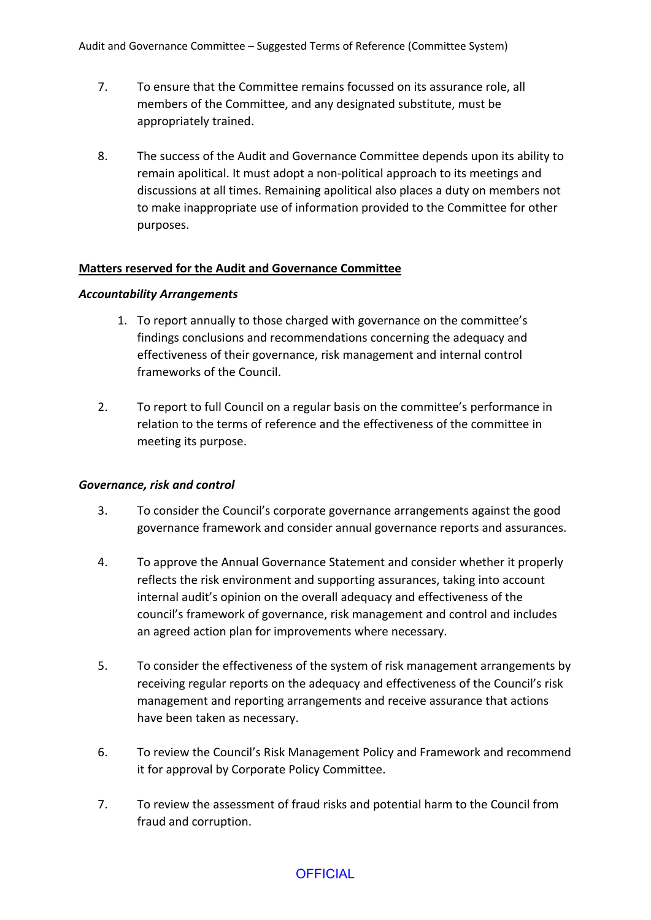Audit and Governance Committee – Suggested Terms of Reference (Committee System)

- 7. To ensure that the Committee remains focussed on its assurance role, all members of the Committee, and any designated substitute, must be appropriately trained.
- 8. The success of the Audit and Governance Committee depends upon its ability to remain apolitical. It must adopt a non-political approach to its meetings and discussions at all times. Remaining apolitical also places a duty on members not to make inappropriate use of information provided to the Committee for other purposes.

#### **Matters reserved for the Audit and Governance Committee**

#### *Accountability Arrangements*

- 1. To report annually to those charged with governance on the committee's findings conclusions and recommendations concerning the adequacy and effectiveness of their governance, risk management and internal control frameworks of the Council.
- 2. To report to full Council on a regular basis on the committee's performance in relation to the terms of reference and the effectiveness of the committee in meeting its purpose.

#### *Governance, risk and control*

- 3. To consider the Council's corporate governance arrangements against the good governance framework and consider annual governance reports and assurances.
- 4. To approve the Annual Governance Statement and consider whether it properly reflects the risk environment and supporting assurances, taking into account internal audit's opinion on the overall adequacy and effectiveness of the council's framework of governance, risk management and control and includes an agreed action plan for improvements where necessary.
- 5. To consider the effectiveness of the system of risk management arrangements by receiving regular reports on the adequacy and effectiveness of the Council's risk management and reporting arrangements and receive assurance that actions have been taken as necessary.
- 6. To review the Council's Risk Management Policy and Framework and recommend it for approval by Corporate Policy Committee.
- 7. To review the assessment of fraud risks and potential harm to the Council from fraud and corruption.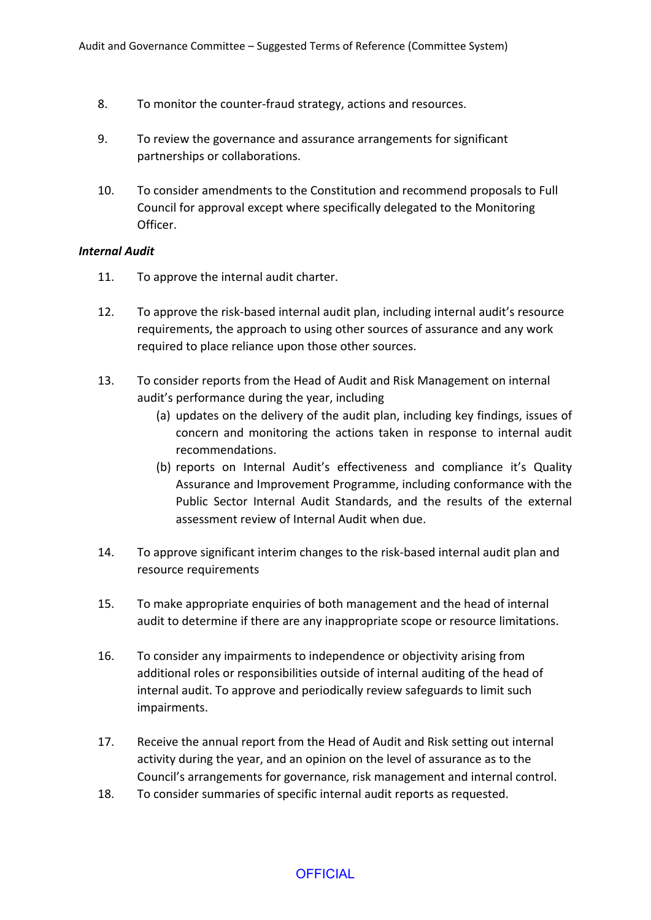- 8. To monitor the counter-fraud strategy, actions and resources.
- 9. To review the governance and assurance arrangements for significant partnerships or collaborations.
- 10. To consider amendments to the Constitution and recommend proposals to Full Council for approval except where specifically delegated to the Monitoring Officer.

#### *Internal Audit*

- 11. To approve the internal audit charter.
- 12. To approve the risk-based internal audit plan, including internal audit's resource requirements, the approach to using other sources of assurance and any work required to place reliance upon those other sources.
- 13. To consider reports from the Head of Audit and Risk Management on internal audit's performance during the year, including
	- (a) updates on the delivery of the audit plan, including key findings, issues of concern and monitoring the actions taken in response to internal audit recommendations.
	- (b) reports on Internal Audit's effectiveness and compliance it's Quality Assurance and Improvement Programme, including conformance with the Public Sector Internal Audit Standards, and the results of the external assessment review of Internal Audit when due.
- 14. To approve significant interim changes to the risk-based internal audit plan and resource requirements
- 15. To make appropriate enquiries of both management and the head of internal audit to determine if there are any inappropriate scope or resource limitations.
- 16. To consider any impairments to independence or objectivity arising from additional roles or responsibilities outside of internal auditing of the head of internal audit. To approve and periodically review safeguards to limit such impairments.
- 17. Receive the annual report from the Head of Audit and Risk setting out internal activity during the year, and an opinion on the level of assurance as to the Council's arrangements for governance, risk management and internal control.
- 18. To consider summaries of specific internal audit reports as requested.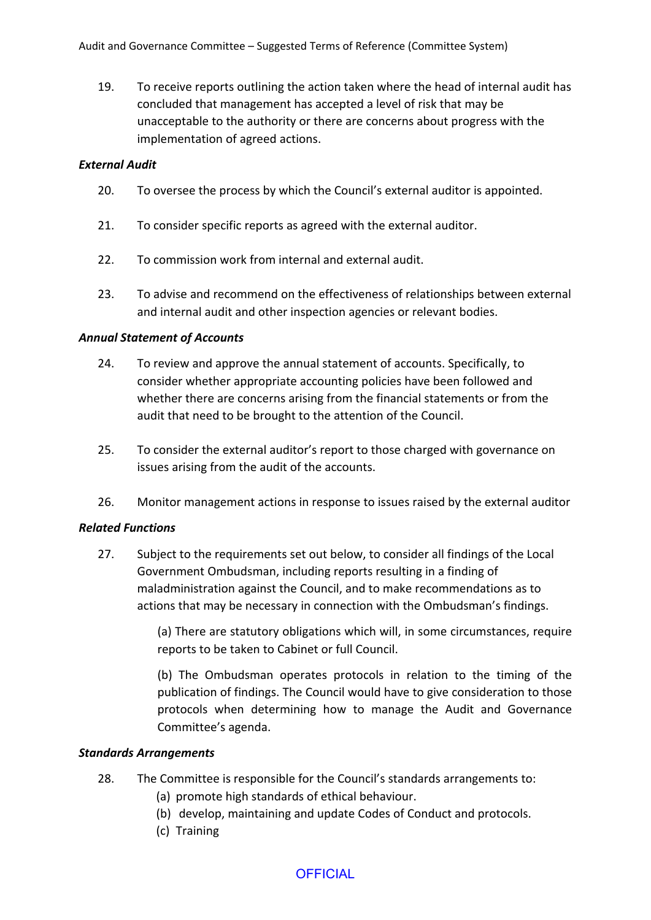19. To receive reports outlining the action taken where the head of internal audit has concluded that management has accepted a level of risk that may be unacceptable to the authority or there are concerns about progress with the implementation of agreed actions.

#### *External Audit*

- 20. To oversee the process by which the Council's external auditor is appointed.
- 21. To consider specific reports as agreed with the external auditor.
- 22. To commission work from internal and external audit.
- 23. To advise and recommend on the effectiveness of relationships between external and internal audit and other inspection agencies or relevant bodies.

#### *Annual Statement of Accounts*

- 24. To review and approve the annual statement of accounts. Specifically, to consider whether appropriate accounting policies have been followed and whether there are concerns arising from the financial statements or from the audit that need to be brought to the attention of the Council.
- 25. To consider the external auditor's report to those charged with governance on issues arising from the audit of the accounts.
- 26. Monitor management actions in response to issues raised by the external auditor

#### *Related Functions*

27. Subject to the requirements set out below, to consider all findings of the Local Government Ombudsman, including reports resulting in a finding of maladministration against the Council, and to make recommendations as to actions that may be necessary in connection with the Ombudsman's findings.

> (a) There are statutory obligations which will, in some circumstances, require reports to be taken to Cabinet or full Council.

> (b) The Ombudsman operates protocols in relation to the timing of the publication of findings. The Council would have to give consideration to those protocols when determining how to manage the Audit and Governance Committee's agenda.

#### *Standards Arrangements*

- 28. The Committee is responsible for the Council's standards arrangements to:
	- (a) promote high standards of ethical behaviour.
	- (b) develop, maintaining and update Codes of Conduct and protocols.
	- (c) Training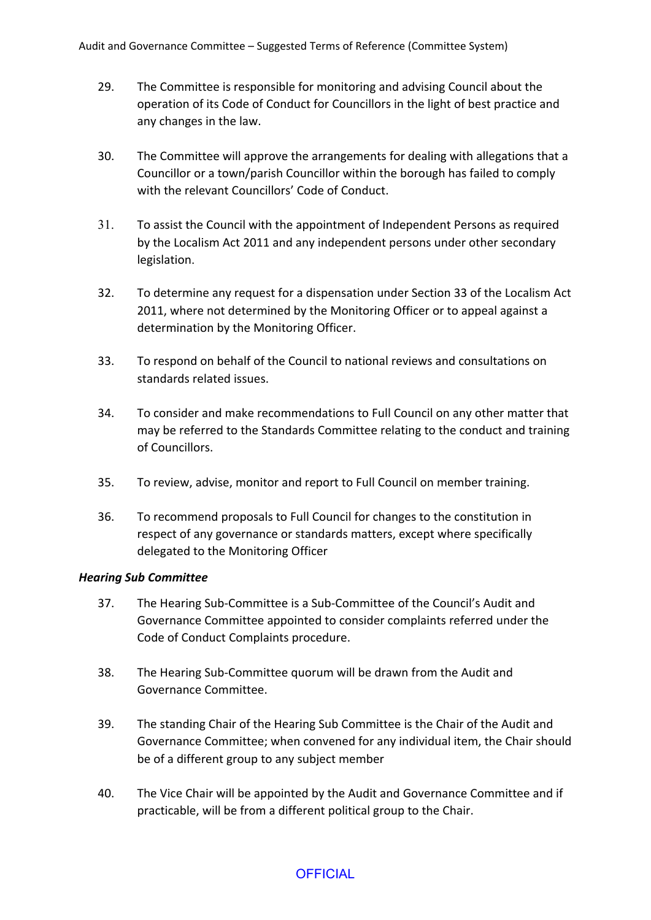- 29. The Committee is responsible for monitoring and advising Council about the operation of its Code of Conduct for Councillors in the light of best practice and any changes in the law.
- 30. The Committee will approve the arrangements for dealing with allegations that a Councillor or a town/parish Councillor within the borough has failed to comply with the relevant Councillors' Code of Conduct.
- 31. To assist the Council with the appointment of Independent Persons as required by the Localism Act 2011 and any independent persons under other secondary legislation.
- 32. To determine any request for a dispensation under Section 33 of the Localism Act 2011, where not determined by the Monitoring Officer or to appeal against a determination by the Monitoring Officer.
- 33. To respond on behalf of the Council to national reviews and consultations on standards related issues.
- 34. To consider and make recommendations to Full Council on any other matter that may be referred to the Standards Committee relating to the conduct and training of Councillors.
- 35. To review, advise, monitor and report to Full Council on member training.
- 36. To recommend proposals to Full Council for changes to the constitution in respect of any governance or standards matters, except where specifically delegated to the Monitoring Officer

## *Hearing Sub Committee*

- 37. The Hearing Sub-Committee is a Sub-Committee of the Council's Audit and Governance Committee appointed to consider complaints referred under the Code of Conduct Complaints procedure.
- 38. The Hearing Sub-Committee quorum will be drawn from the Audit and Governance Committee.
- 39. The standing Chair of the Hearing Sub Committee is the Chair of the Audit and Governance Committee; when convened for any individual item, the Chair should be of a different group to any subject member
- 40. The Vice Chair will be appointed by the Audit and Governance Committee and if practicable, will be from a different political group to the Chair.